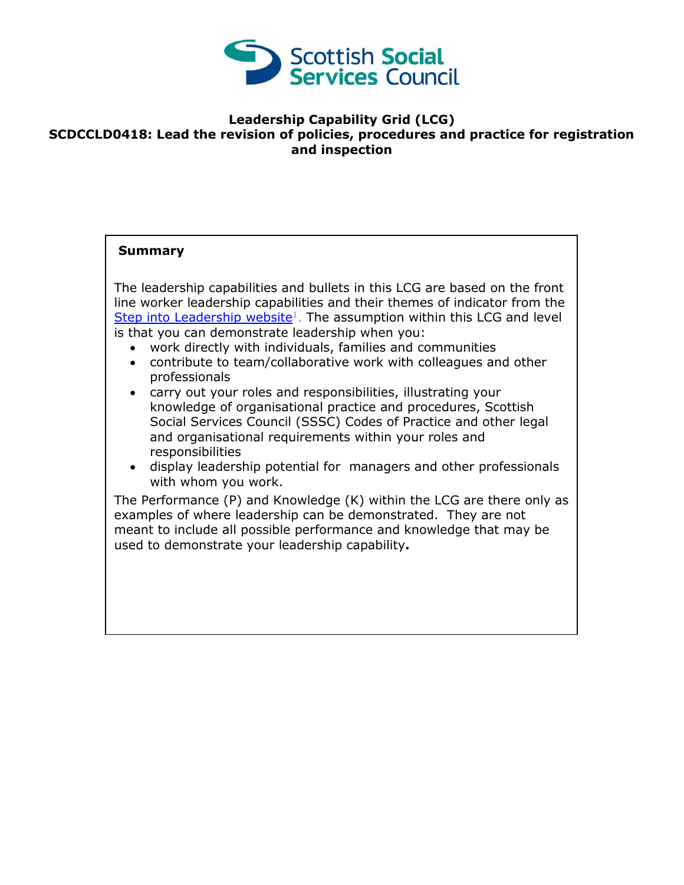

## **Leadership Capability Grid (LCG) SCDCCLD0418: Lead the revision of policies, procedures and practice for registration and inspection**

## **Summary**

The leadership capabilities and bullets in this LCG are based on the front line worker leadership capabilities and their themes of indicator from the [Step into Leadership website](http://www.stepintoleadership.info/)<sup>1</sup>. The assumption within this LCG and level is that you can demonstrate leadership when you:

- work directly with individuals, families and communities
- contribute to team/collaborative work with colleagues and other professionals
- carry out your roles and responsibilities, illustrating your knowledge of organisational practice and procedures, Scottish Social Services Council (SSSC) Codes of Practice and other legal and organisational requirements within your roles and responsibilities
- display leadership potential for managers and other professionals with whom you work.

The Performance (P) and Knowledge (K) within the LCG are there only as examples of where leadership can be demonstrated. They are not meant to include all possible performance and knowledge that may be used to demonstrate your leadership capability**.**